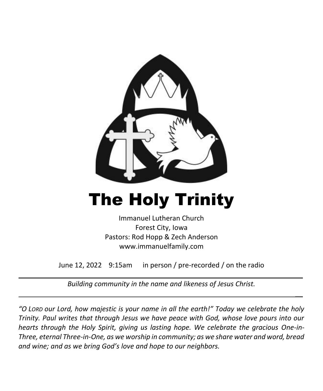

# The Holy Trinity

Immanuel Lutheran Church Forest City, Iowa Pastors: Rod Hopp & Zech Anderson www.immanuelfamily.com

June 12, 2022 9:15am in person / pre-recorded / on the radio

 $\overline{\phantom{a}}$ 

 $\overline{\phantom{a}}$ 

*Building community in the name and likeness of Jesus Christ.*

*"O LORD our Lord, how majestic is your name in all the earth!" Today we celebrate the holy Trinity. Paul writes that through Jesus we have peace with God, whose love pours into our hearts through the Holy Spirit, giving us lasting hope. We celebrate the gracious One-in-Three, eternal Three-in-One, as we worship in community; as we share water and word, bread and wine; and as we bring God's love and hope to our neighbors.*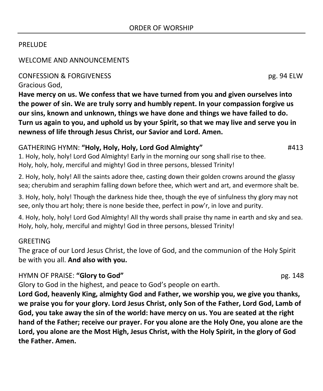#### PRELUDE

#### WELCOME AND ANNOUNCEMENTS

#### CONFESSION & FORGIVENESS pg. 94 ELW

Gracious God,

**Have mercy on us. We confess that we have turned from you and given ourselves into the power of sin. We are truly sorry and humbly repent. In your compassion forgive us our sins, known and unknown, things we have done and things we have failed to do. Turn us again to you, and uphold us by your Spirit, so that we may live and serve you in newness of life through Jesus Christ, our Savior and Lord. Amen.**

# GATHERING HYMN: **"Holy, Holy, Holy, Lord God Almighty"** #413

1. Holy, holy, holy! Lord God Almighty! Early in the morning our song shall rise to thee. Holy, holy, holy, merciful and mighty! God in three persons, blessed Trinity!

2. Holy, holy, holy! All the saints adore thee, casting down their golden crowns around the glassy sea; cherubim and seraphim falling down before thee, which wert and art, and evermore shalt be.

3. Holy, holy, holy! Though the darkness hide thee, though the eye of sinfulness thy glory may not see, only thou art holy; there is none beside thee, perfect in pow'r, in love and purity.

4. Holy, holy, holy! Lord God Almighty! All thy words shall praise thy name in earth and sky and sea. Holy, holy, holy, merciful and mighty! God in three persons, blessed Trinity!

#### **GREETING**

The grace of our Lord Jesus Christ, the love of God, and the communion of the Holy Spirit be with you all. **And also with you.**

#### HYMN OF PRAISE: **"Glory to God"** pg. 148

Glory to God in the highest, and peace to God's people on earth.

**Lord God, heavenly King, almighty God and Father, we worship you, we give you thanks, we praise you for your glory. Lord Jesus Christ, only Son of the Father, Lord God, Lamb of God, you take away the sin of the world: have mercy on us. You are seated at the right hand of the Father; receive our prayer. For you alone are the Holy One, you alone are the Lord, you alone are the Most High, Jesus Christ, with the Holy Spirit, in the glory of God the Father. Amen.**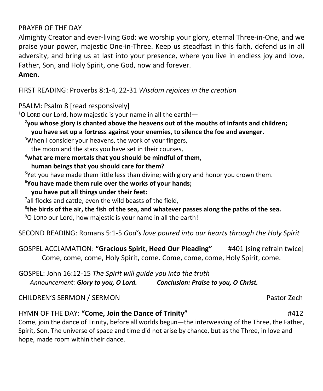#### PRAYER OF THE DAY

Almighty Creator and ever-living God: we worship your glory, eternal Three-in-One, and we praise your power, majestic One-in-Three. Keep us steadfast in this faith, defend us in all adversity, and bring us at last into your presence, where you live in endless joy and love, Father, Son, and Holy Spirit, one God, now and forever.

#### **Amen.**

FIRST READING: Proverbs 8:1-4, 22-31 *Wisdom rejoices in the creation*

PSALM: Psalm 8 [read responsively]

 $1$ O LORD our Lord, how majestic is your name in all the earth!—

2 **you whose glory is chanted above the heavens out of the mouths of infants and children; you have set up a fortress against your enemies, to silence the foe and avenger.**

<sup>3</sup>When I consider your heavens, the work of your fingers,

the moon and the stars you have set in their courses,

<sup>4</sup>**what are mere mortals that you should be mindful of them, human beings that you should care for them?**

<sup>5</sup>Yet you have made them little less than divine; with glory and honor you crown them.

<sup>6</sup>**You have made them rule over the works of your hands;**

**you have put all things under their feet:**

 $7$ all flocks and cattle, even the wild beasts of the field,

8 **the birds of the air, the fish of the sea, and whatever passes along the paths of the sea.**

 $90$  LORD our Lord, how majestic is your name in all the earth!

SECOND READING: Romans 5:1-5 *God's love poured into our hearts through the Holy Spirit*

GOSPEL ACCLAMATION: **"Gracious Spirit, Heed Our Pleading"** #401 [sing refrain twice] Come, come, come, Holy Spirit, come. Come, come, come, Holy Spirit, come.

GOSPEL: John 16:12-15 *The Spirit will guide you into the truth Announcement: Glory to you, O Lord. Conclusion: Praise to you, O Christ.*

CHILDREN'S SERMON / SERMON Pastor Zech

# HYMN OF THE DAY: **"Come, Join the Dance of Trinity"** #412

Come, join the dance of Trinity, before all worlds begun—the interweaving of the Three, the Father, Spirit, Son. The universe of space and time did not arise by chance, but as the Three, in love and hope, made room within their dance.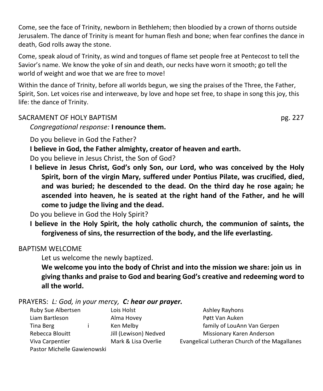Come, see the face of Trinity, newborn in Bethlehem; then bloodied by a crown of thorns outside Jerusalem. The dance of Trinity is meant for human flesh and bone; when fear confines the dance in death, God rolls away the stone.

Come, speak aloud of Trinity, as wind and tongues of flame set people free at Pentecost to tell the Savior's name. We know the yoke of sin and death, our necks have worn it smooth; go tell the world of weight and woe that we are free to move!

Within the dance of Trinity, before all worlds begun, we sing the praises of the Three, the Father, Spirit, Son. Let voices rise and interweave, by love and hope set free, to shape in song this joy, this life: the dance of Trinity.

# SACRAMENT OF HOLY BAPTISM **pg. 227**

*Congregational response:* **I renounce them.**

Do you believe in God the Father?

**I believe in God, the Father almighty, creator of heaven and earth.**

Do you believe in Jesus Christ, the Son of God?

**I believe in Jesus Christ, God's only Son, our Lord, who was conceived by the Holy Spirit, born of the virgin Mary, suffered under Pontius Pilate, was crucified, died, and was buried; he descended to the dead. On the third day he rose again; he ascended into heaven, he is seated at the right hand of the Father, and he will come to judge the living and the dead.**

Do you believe in God the Holy Spirit?

**I believe in the Holy Spirit, the holy catholic church, the communion of saints, the forgiveness of sins, the resurrection of the body, and the life everlasting.**

# BAPTISM WELCOME

Let us welcome the newly baptized.

**We welcome you into the body of Christ and into the mission we share: join us in giving thanks and praise to God and bearing God's creative and redeeming word to all the world.**

# PRAYERS: *L: God, in your mercy, C: hear our prayer.*

| Ruby Sue Albertsen          | Lois Holst            | <b>Ashley Rayhons</b>                         |
|-----------------------------|-----------------------|-----------------------------------------------|
| Liam Bartleson              | Alma Hovey            | Pøtt Van Auken                                |
| Tina Berg                   | Ken Melby             | family of LouAnn Van Gerpen                   |
| Rebecca Blouitt             | Jill (Lewison) Nedved | Missionary Karen Anderson                     |
| Viva Carpentier             | Mark & Lisa Overlie   | Evangelical Lutheran Church of the Magallanes |
| Pastor Michelle Gawienowski |                       |                                               |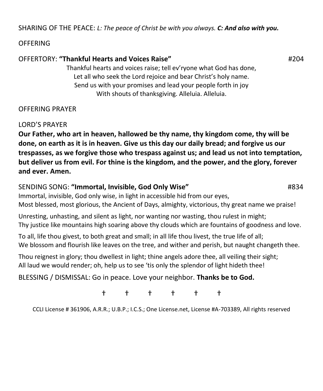SHARING OF THE PEACE: *L: The peace of Christ be with you always. C: And also with you.*

#### **OFFERING**

# OFFERTORY: **"Thankful Hearts and Voices Raise"** #204

Thankful hearts and voices raise; tell ev'ryone what God has done, Let all who seek the Lord rejoice and bear Christ's holy name. Send us with your promises and lead your people forth in joy With shouts of thanksgiving. Alleluia. Alleluia.

# OFFERING PRAYER

LORD'S PRAYER

**Our Father, who art in heaven, hallowed be thy name, thy kingdom come, thy will be done, on earth as it is in heaven. Give us this day our daily bread; and forgive us our trespasses, as we forgive those who trespass against us; and lead us not into temptation, but deliver us from evil. For thine is the kingdom, and the power, and the glory, forever and ever. Amen.**

# SENDING SONG: **"Immortal, Invisible, God Only Wise"** #834

Immortal, invisible, God only wise, in light in accessible hid from our eyes, Most blessed, most glorious, the Ancient of Days, almighty, victorious, thy great name we praise!

Unresting, unhasting, and silent as light, nor wanting nor wasting, thou rulest in might; Thy justice like mountains high soaring above thy clouds which are fountains of goodness and love.

To all, life thou givest, to both great and small; in all life thou livest, the true life of all; We blossom and flourish like leaves on the tree, and wither and perish, but naught changeth thee.

Thou reignest in glory; thou dwellest in light; thine angels adore thee, all veiling their sight; All laud we would render; oh, help us to see 'tis only the splendor of light hideth thee!

BLESSING / DISMISSAL: Go in peace. Love your neighbor. **Thanks be to God.**

† † † † † †

CCLI License # 361906, A.R.R.; U.B.P.; I.C.S.; One License.net, License #A-703389, All rights reserved